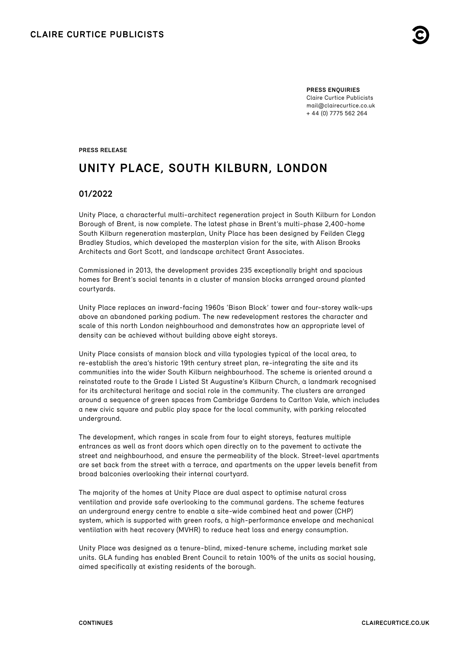**PRESS ENQUIRIES** Claire Curtice Publicists [mail@clairecurtice.co.uk](mailto:mail@clairecurtice.co.uk?subject=Alison Brooks Architects - Unity Place) + 44 (0) 7775 562 264

**PRESS RELEASE**

# **UNITY PLACE, SOUTH KILBURN, LONDON**

## **01/2022**

Unity Place, a characterful multi-architect regeneration project in South Kilburn for London Borough of Brent, is now complete. The latest phase in Brent's multi-phase 2,400-home South Kilburn regeneration masterplan, Unity Place has been designed by Feilden Clegg Bradley Studios, which developed the masterplan vision for the site, with Alison Brooks Architects and Gort Scott, and landscape architect Grant Associates.

Commissioned in 2013, the development provides 235 exceptionally bright and spacious homes for Brent's social tenants in a cluster of mansion blocks arranged around planted courtyards.

Unity Place replaces an inward-facing 1960s 'Bison Block' tower and four-storey walk-ups above an abandoned parking podium. The new redevelopment restores the character and scale of this north London neighbourhood and demonstrates how an appropriate level of density can be achieved without building above eight storeys.

Unity Place consists of mansion block and villa typologies typical of the local area, to re-establish the area's historic 19th century street plan, re-integrating the site and its communities into the wider South Kilburn neighbourhood. The scheme is oriented around a reinstated route to the Grade I Listed St Augustine's Kilburn Church, a landmark recognised for its architectural heritage and social role in the community. The clusters are arranged around a sequence of green spaces from Cambridge Gardens to Carlton Vale, which includes a new civic square and public play space for the local community, with parking relocated underground.

The development, which ranges in scale from four to eight storeys, features multiple entrances as well as front doors which open directly on to the pavement to activate the street and neighbourhood, and ensure the permeability of the block. Street-level apartments are set back from the street with a terrace, and apartments on the upper levels benefit from broad balconies overlooking their internal courtyard.

The majority of the homes at Unity Place are dual aspect to optimise natural cross ventilation and provide safe overlooking to the communal gardens. The scheme features an underground energy centre to enable a site-wide combined heat and power (CHP) system, which is supported with green roofs, a high-performance envelope and mechanical ventilation with heat recovery (MVHR) to reduce heat loss and energy consumption.

Unity Place was designed as a tenure-blind, mixed-tenure scheme, including market sale units. GLA funding has enabled Brent Council to retain 100% of the units as social housing, aimed specifically at existing residents of the borough.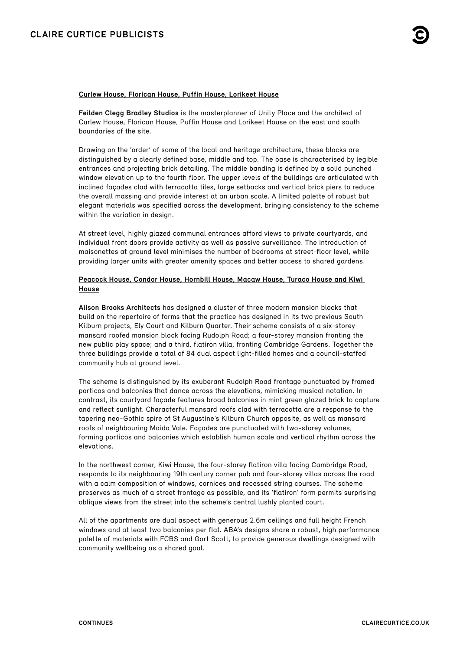#### **Curlew House, Florican House, Puffin House, Lorikeet House**

**Feilden Clegg Bradley Studios** is the masterplanner of Unity Place and the architect of Curlew House, Florican House, Puffin House and Lorikeet House on the east and south boundaries of the site.

Drawing on the 'order' of some of the local and heritage architecture, these blocks are distinguished by a clearly defined base, middle and top. The base is characterised by legible entrances and projecting brick detailing. The middle banding is defined by a solid punched window elevation up to the fourth floor. The upper levels of the buildings are articulated with inclined façades clad with terracotta tiles, large setbacks and vertical brick piers to reduce the overall massing and provide interest at an urban scale. A limited palette of robust but elegant materials was specified across the development, bringing consistency to the scheme within the variation in design.

At street level, highly glazed communal entrances afford views to private courtyards, and individual front doors provide activity as well as passive surveillance. The introduction of maisonettes at ground level minimises the number of bedrooms at street-floor level, while providing larger units with greater amenity spaces and better access to shared gardens.

### **Peacock House, Condor House, Hornbill House, Macaw House, Turaco House and Kiwi House**

**Alison Brooks Architects** has designed a cluster of three modern mansion blocks that build on the repertoire of forms that the practice has designed in its two previous South Kilburn projects, Ely Court and Kilburn Quarter. Their scheme consists of a six-storey mansard roofed mansion block facing Rudolph Road; a four-storey mansion fronting the new public play space; and a third, flatiron villa, fronting Cambridge Gardens. Together the three buildings provide a total of 84 dual aspect light-filled homes and a council-staffed community hub at ground level.

The scheme is distinguished by its exuberant Rudolph Road frontage punctuated by framed porticos and balconies that dance across the elevations, mimicking musical notation. In contrast, its courtyard façade features broad balconies in mint green glazed brick to capture and reflect sunlight. Characterful mansard roofs clad with terracotta are a response to the tapering neo-Gothic spire of St Augustine's Kilburn Church opposite, as well as mansard roofs of neighbouring Maida Vale. Façades are punctuated with two-storey volumes, forming porticos and balconies which establish human scale and vertical rhythm across the elevations.

In the northwest corner, Kiwi House, the four-storey flatiron villa facing Cambridge Road, responds to its neighbouring 19th century corner pub and four-storey villas across the road with a calm composition of windows, cornices and recessed string courses. The scheme preserves as much of a street frontage as possible, and its 'flatiron' form permits surprising oblique views from the street into the scheme's central lushly planted court.

All of the apartments are dual aspect with generous 2.6m ceilings and full height French windows and at least two balconies per flat. ABA's designs share a robust, high performance palette of materials with FCBS and Gort Scott, to provide generous dwellings designed with community wellbeing as a shared goal.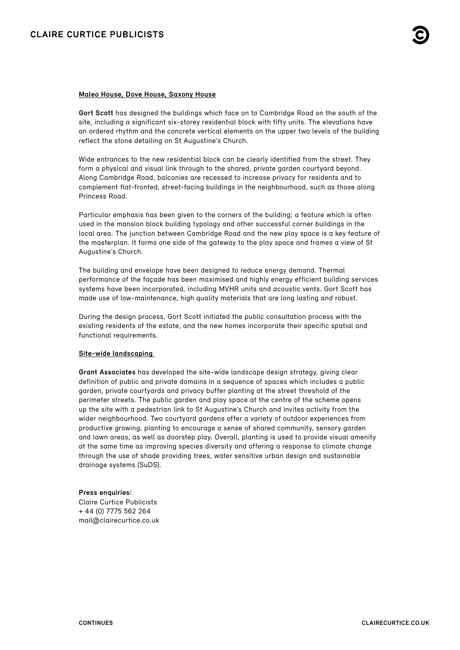### **Maleo House, Dove House, Saxony House**

**Gort Scott** has designed the buildings which face on to Cambridge Road on the south of the site, including a significant six-storey residential block with fifty units. The elevations have an ordered rhythm and the concrete vertical elements on the upper two levels of the building reflect the stone detailing on St Augustine's Church.

Wide entrances to the new residential block can be clearly identified from the street. They form a physical and visual link through to the shared, private garden courtyard beyond. Along Cambridge Road, balconies are recessed to increase privacy for residents and to complement flat-fronted, street-facing buildings in the neighbourhood, such as those along Princess Road.

Particular emphasis has been given to the corners of the building; a feature which is often used in the mansion block building typology and other successful corner buildings in the local area. The junction between Cambridge Road and the new play space is a key feature of the masterplan. It forms one side of the gateway to the play space and frames a view of St Augustine's Church.

The building and envelope have been designed to reduce energy demand. Thermal performance of the façade has been maximised and highly energy efficient building services systems have been incorporated, including MVHR units and acoustic vents. Gort Scott has made use of low-maintenance, high quality materials that are long lasting and robust.

During the design process, Gort Scott initiated the public consultation process with the existing residents of the estate, and the new homes incorporate their specific spatial and functional requirements.

#### **Site-wide landscaping**

**Grant Associates** has developed the site-wide landscape design strategy, giving clear definition of public and private domains in a sequence of spaces which includes a public garden, private courtyards and privacy buffer planting at the street threshold of the perimeter streets. The public garden and play space at the centre of the scheme opens up the site with a pedestrian link to St Augustine's Church and invites activity from the wider neighbourhood. Two courtyard gardens offer a variety of outdoor experiences from productive growing, planting to encourage a sense of shared community, sensory garden and lawn areas, as well as doorstep play. Overall, planting is used to provide visual amenity at the same time as improving species diversity and offering a response to climate change through the use of shade providing trees, water sensitive urban design and sustainable drainage systems (SuDS).

#### **Press enquiries:**

Claire Curtice Publicists + 44 (0) 7775 562 264 [mail@clairecurtice.co.uk](mailto:mail@clairecurtice.co.uk?subject=Alison Brooks Architects - Unity Place)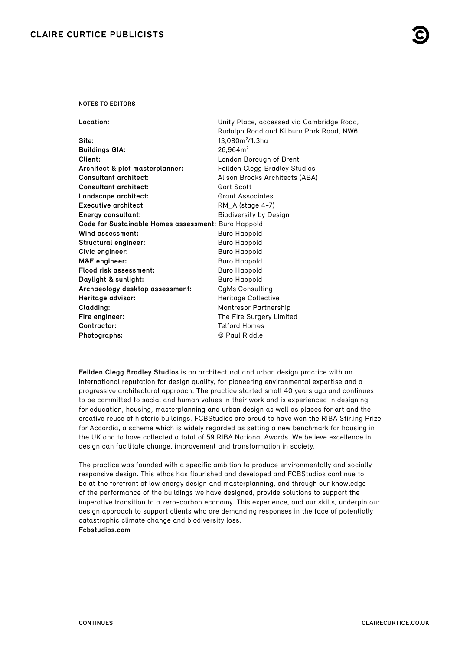#### **NOTES TO EDITORS**

**Location:** Unity Place, accessed via Cambridge Road,

|                                                     | Rudolph Road and Kilburn Park Road, NW6 |
|-----------------------------------------------------|-----------------------------------------|
| Site:                                               | 13,080m <sup>2</sup> /1.3ha             |
| <b>Buildings GIA:</b>                               | 26,964m <sup>2</sup>                    |
| Client:                                             | London Borough of Brent                 |
| Architect & plot masterplanner:                     | Feilden Clegg Bradley Studios           |
| <b>Consultant architect:</b>                        | Alison Brooks Architects (ABA)          |
| <b>Consultant architect:</b>                        | Gort Scott                              |
| Landscape architect:                                | <b>Grant Associates</b>                 |
| <b>Executive architect:</b>                         | RM_A (stage 4-7)                        |
| Energy consultant:                                  | <b>Biodiversity by Design</b>           |
| Code for Sustainable Homes assessment: Buro Happold |                                         |
| Wind assessment:                                    | <b>Buro Happold</b>                     |
| Structural engineer:                                | <b>Buro Happold</b>                     |
| Civic engineer:                                     | Buro Happold                            |
| M&E engineer:                                       | <b>Buro Happold</b>                     |
| Flood risk assessment:                              | Buro Happold                            |
| Daylight & sunlight:                                | <b>Buro Happold</b>                     |
| Archaeology desktop assessment:                     | CgMs Consulting                         |
| Heritage advisor:                                   | Heritage Collective                     |
| Cladding:                                           | Montresor Partnership                   |
| Fire engineer:                                      | The Fire Surgery Limited                |
| Contractor:                                         | <b>Telford Homes</b>                    |
| Photographs:                                        | © Paul Riddle                           |

**Feilden Clegg Bradley Studios** is an architectural and urban design practice with an international reputation for design quality, for pioneering environmental expertise and a progressive architectural approach. The practice started small 40 years ago and continues to be committed to social and human values in their work and is experienced in designing for education, housing, masterplanning and urban design as well as places for art and the creative reuse of historic buildings. FCBStudios are proud to have won the RIBA Stirling Prize for Accordia, a scheme which is widely regarded as setting a new benchmark for housing in the UK and to have collected a total of 59 RIBA National Awards. We believe excellence in design can facilitate change, improvement and transformation in society.

The practice was founded with a specific ambition to produce environmentally and socially responsive design. This ethos has flourished and developed and FCBStudios continue to be at the forefront of low energy design and masterplanning, and through our knowledge of the performance of the buildings we have designed, provide solutions to support the imperative transition to a zero-carbon economy. This experience, and our skills, underpin our design approach to support clients who are demanding responses in the face of potentially catastrophic climate change and biodiversity loss. **[Fcbstudios.com](https://fcbstudios.com)**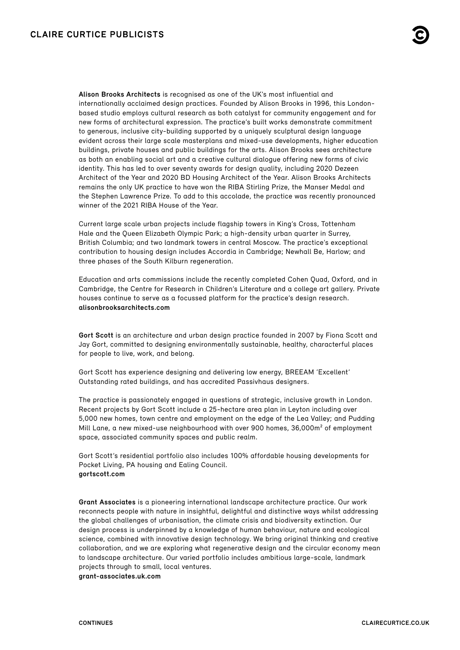**Alison Brooks Architects** is recognised as one of the UK's most influential and internationally acclaimed design practices. Founded by Alison Brooks in 1996, this Londonbased studio employs cultural research as both catalyst for community engagement and for new forms of architectural expression. The practice's built works demonstrate commitment to generous, inclusive city-building supported by a uniquely sculptural design language evident across their large scale masterplans and mixed-use developments, higher education buildings, private houses and public buildings for the arts. Alison Brooks sees architecture as both an enabling social art and a creative cultural dialogue offering new forms of civic identity. This has led to over seventy awards for design quality, including 2020 Dezeen Architect of the Year and 2020 BD Housing Architect of the Year. Alison Brooks Architects remains the only UK practice to have won the RIBA Stirling Prize, the Manser Medal and the Stephen Lawrence Prize. To add to this accolade, the practice was recently pronounced winner of the 2021 RIBA House of the Year.

Current large scale urban projects include flagship towers in King's Cross, Tottenham Hale and the Queen Elizabeth Olympic Park; a high-density urban quarter in Surrey, British Columbia; and two landmark towers in central Moscow. The practice's exceptional contribution to housing design includes Accordia in Cambridge; Newhall Be, Harlow; and three phases of the South Kilburn regeneration.

Education and arts commissions include the recently completed Cohen Quad, Oxford, and in Cambridge, the Centre for Research in Children's Literature and a college art gallery. Private houses continue to serve as a focussed platform for the practice's design research. **[alisonbrooksarchitects.com](https://www.alisonbrooksarchitects.com)**

**Gort Scott** is an architecture and urban design practice founded in 2007 by Fiona Scott and Jay Gort, committed to designing environmentally sustainable, healthy, characterful places for people to live, work, and belong.

Gort Scott has experience designing and delivering low energy, BREEAM 'Excellent' Outstanding rated buildings, and has accredited Passivhaus designers.

The practice is passionately engaged in questions of strategic, inclusive growth in London. Recent projects by Gort Scott include a 25-hectare area plan in Leyton including over 5,000 new homes, town centre and employment on the edge of the Lea Valley; and Pudding Mill Lane, a new mixed-use neighbourhood with over 900 homes, 36,000m² of employment space, associated community spaces and public realm.

Gort Scott's residential portfolio also includes 100% affordable housing developments for Pocket Living, PA housing and Ealing Council. **[gortscott.com](https://gortscott.com)**

**Grant Associates** is a pioneering international landscape architecture practice. Our work reconnects people with nature in insightful, delightful and distinctive ways whilst addressing the global challenges of urbanisation, the climate crisis and biodiversity extinction. Our design process is underpinned by a knowledge of human behaviour, nature and ecological science, combined with innovative design technology. We bring original thinking and creative collaboration, and we are exploring what regenerative design and the circular economy mean to landscape architecture. Our varied portfolio includes ambitious large-scale, landmark projects through to small, local ventures. **[grant-associates.uk.com](https://grant-associates.uk.com)**